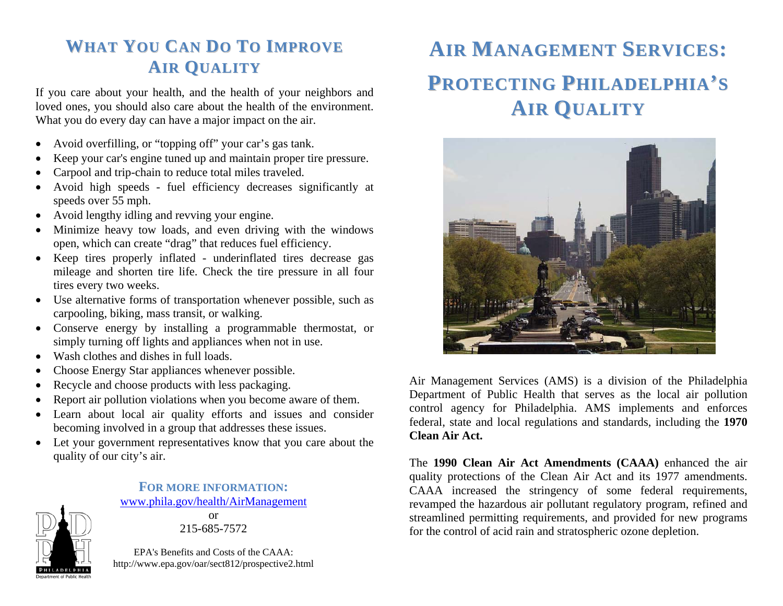# **WHATYOUCANDOTOIMPROVEAI RQ UALI TY**

If you care about your health, and the health of your neighbors and loved ones, you should also care about the health of the environment. What you do every day can have a major impact on the air.

- $\bullet$ Avoid overfilling, or "topping off" your car's gas tank.
- •Keep your car's engine tuned up and maintain proper tire pressure.
- •Carpool and trip-chain to reduce total miles traveled.
- $\bullet$  Avoid high speeds - fuel efficiency decreases significantly at speeds over 55 mph.
- Avoid lengthy idling and revving your engine.
- $\bullet$  Minimize heavy tow loads, and even driving with the windows open, which can create "drag" that reduces fuel efficiency.
- Keep tires properly inflated underinflated tires decrease gas mileage and shorten tire life. Check the tire pressure in all four tires every two weeks.
- • Use alternative forms of transportation whenever possible, such as carpooling, biking, mass transit, or walking.
- Conserve energy by installing a programmable thermostat, or simply turning off lights and appliances when not in use.
- •Wash clothes and dishes in full loads.
- $\bullet$ Choose Energy Star appliances whenever possible.
- •Recycle and choose products with less packaging.
- •Report air pollution violations when you become aware of them.
- $\bullet$  Learn about local air quality efforts and issues and consider becoming involved in a group that addresses these issues.
- Let your government representatives know that you care about the quality of our city's air.

**FOR MORE INFORMATION:**www.phila.gov/health/AirManagement

or 215-685-7572

EPA's Benefits and Costs of the CAAA: http://www.epa.gov/oar/sect812/prospective2.html

# **AIRMANAGEMENTSERVICES:PROTECTINGPHILADELPHIA'SAIR QUALITY**



Air Management Services (AMS) is a division of the Philadelphia Department of Public Health that serves as the local air pollution control agency for Philadelphia. AMS implements and enforces federal, state and local regulations and standards, including the **1970 Clean Air Act.** 

The **1990 Clean Air Act Amendments (CAAA)** enhanced the air quality protections of the Clean Air Act and its 1977 amendments. CAAA increased the stringency of some federal requirements, revamped the hazardous air pollutant regulatory program, refined and streamlined permitting requirements, and provided for new programs for the control of acid rain and stratospheric ozone depletion.